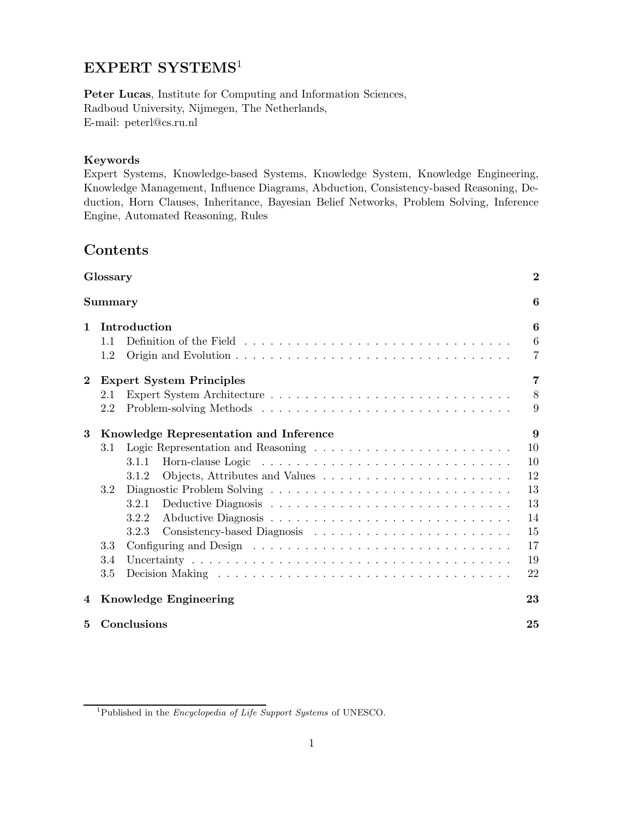# EXPERT SYSTEMS<sup>1</sup>

Peter Lucas, Institute for Computing and Information Sciences, Radboud University, Nijmegen, The Netherlands, E-mail: peterl@cs.ru.nl

## Keywords

Expert Systems, Knowledge-based Systems, Knowledge System, Knowledge Engineering, Knowledge Management, Influence Diagrams, Abduction, Consistency-based Reasoning, Deduction, Horn Clauses, Inheritance, Bayesian Belief Networks, Problem Solving, Inference Engine, Automated Reasoning, Rules

# Contents

| Glossary     |                                        |                                 | $\overline{2}$  |  |
|--------------|----------------------------------------|---------------------------------|-----------------|--|
|              | Summary                                |                                 | 6               |  |
| $\mathbf{1}$ | Introduction                           |                                 |                 |  |
|              | 1.1                                    |                                 | $6\phantom{.}6$ |  |
|              | 1.2                                    |                                 | $\overline{7}$  |  |
| $\bf{2}$     |                                        | <b>Expert System Principles</b> | 7               |  |
|              | 2.1                                    |                                 | 8               |  |
|              | 2.2                                    |                                 | 9               |  |
| 3            | Knowledge Representation and Inference |                                 |                 |  |
|              | 3.1                                    |                                 | 10              |  |
|              |                                        | 3.1.1                           | 10              |  |
|              |                                        | 3.1.2                           | 12              |  |
|              | 3.2                                    |                                 | 13              |  |
|              |                                        | 3.2.1                           | 13              |  |
|              |                                        | 3.2.2                           | 14              |  |
|              |                                        | 3.2.3                           | 15              |  |
|              | 3.3                                    |                                 | 17              |  |
|              | 3.4                                    |                                 | 19              |  |
|              | 3.5                                    |                                 | 22              |  |
| 4            | <b>Knowledge Engineering</b>           |                                 | 23              |  |
| 5            | Conclusions                            |                                 | 25              |  |

<sup>1</sup>Published in the Encyclopedia of Life Support Systems of UNESCO.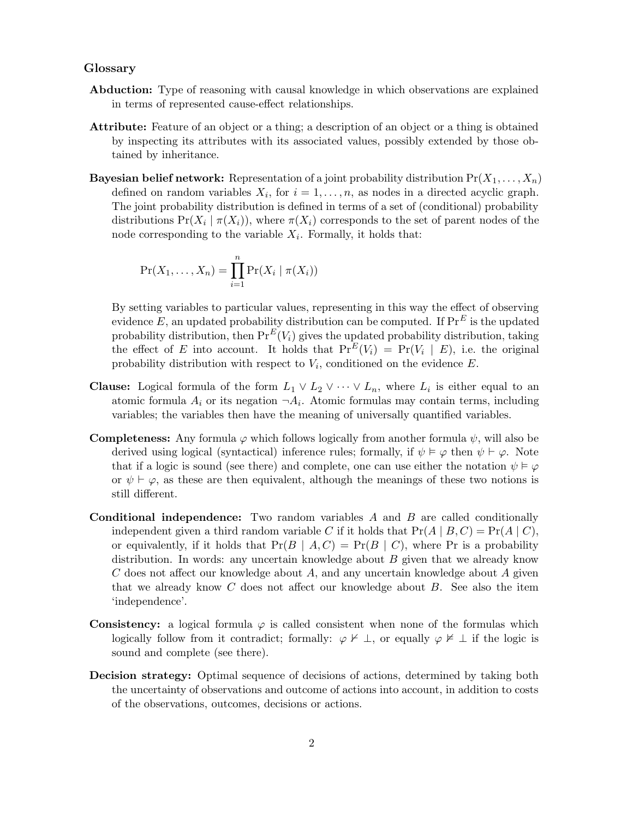### Glossary

- Abduction: Type of reasoning with causal knowledge in which observations are explained in terms of represented cause-effect relationships.
- Attribute: Feature of an object or a thing; a description of an object or a thing is obtained by inspecting its attributes with its associated values, possibly extended by those obtained by inheritance.
- **Bayesian belief network:** Representation of a joint probability distribution  $Pr(X_1, \ldots, X_n)$ defined on random variables  $X_i$ , for  $i = 1, \ldots, n$ , as nodes in a directed acyclic graph. The joint probability distribution is defined in terms of a set of (conditional) probability distributions  $Pr(X_i | \pi(X_i))$ , where  $\pi(X_i)$  corresponds to the set of parent nodes of the node corresponding to the variable  $X_i$ . Formally, it holds that:

$$
\Pr(X_1,\ldots,X_n) = \prod_{i=1}^n \Pr(X_i \mid \pi(X_i))
$$

By setting variables to particular values, representing in this way the effect of observing evidence E, an updated probability distribution can be computed. If  $\Pr^E$  is the updated probability distribution, then  $Pr^{E}(V_i)$  gives the updated probability distribution, taking the effect of E into account. It holds that  $Pr^{E}(V_i) = Pr(V_i | E)$ , i.e. the original probability distribution with respect to  $V_i$ , conditioned on the evidence  $E$ .

- **Clause:** Logical formula of the form  $L_1 \vee L_2 \vee \cdots \vee L_n$ , where  $L_i$  is either equal to an atomic formula  $A_i$  or its negation  $\neg A_i$ . Atomic formulas may contain terms, including variables; the variables then have the meaning of universally quantified variables.
- **Completeness:** Any formula  $\varphi$  which follows logically from another formula  $\psi$ , will also be derived using logical (syntactical) inference rules; formally, if  $\psi \models \varphi$  then  $\psi \vdash \varphi$ . Note that if a logic is sound (see there) and complete, one can use either the notation  $\psi \models \varphi$ or  $\psi \vdash \varphi$ , as these are then equivalent, although the meanings of these two notions is still different.
- Conditional independence: Two random variables A and B are called conditionally independent given a third random variable C if it holds that  $Pr(A | B, C) = Pr(A | C)$ , or equivalently, if it holds that  $Pr(B \mid A, C) = Pr(B \mid C)$ , where Pr is a probability distribution. In words: any uncertain knowledge about  $B$  given that we already know  $C$  does not affect our knowledge about  $A$ , and any uncertain knowledge about  $A$  given that we already know  $C$  does not affect our knowledge about  $B$ . See also the item 'independence'.
- **Consistency:** a logical formula  $\varphi$  is called consistent when none of the formulas which logically follow from it contradict; formally:  $\varphi \nvdash \bot$ , or equally  $\varphi \nvdash \bot$  if the logic is sound and complete (see there).
- Decision strategy: Optimal sequence of decisions of actions, determined by taking both the uncertainty of observations and outcome of actions into account, in addition to costs of the observations, outcomes, decisions or actions.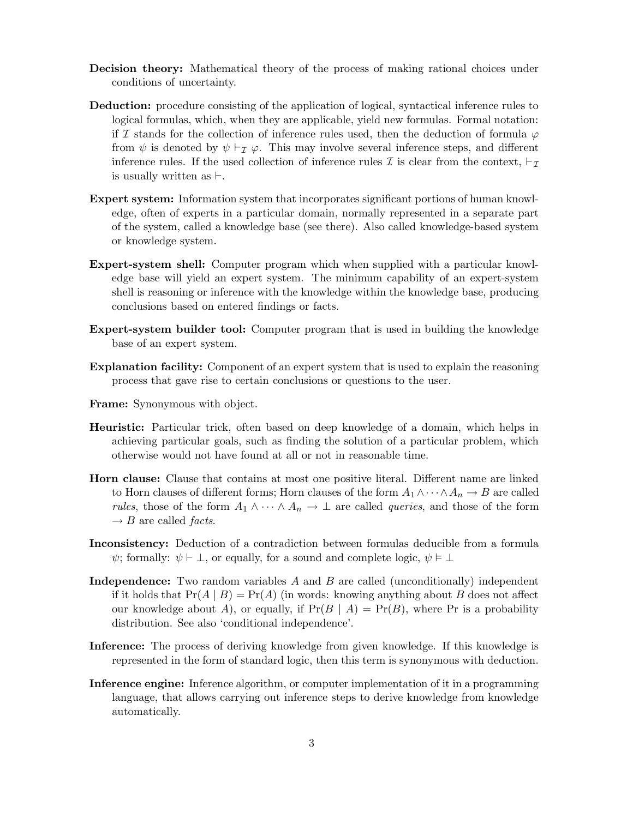- Decision theory: Mathematical theory of the process of making rational choices under conditions of uncertainty.
- Deduction: procedure consisting of the application of logical, syntactical inference rules to logical formulas, which, when they are applicable, yield new formulas. Formal notation: if I stands for the collection of inference rules used, then the deduction of formula  $\varphi$ from  $\psi$  is denoted by  $\psi \vdash_{\mathcal{I}} \varphi$ . This may involve several inference steps, and different inference rules. If the used collection of inference rules  $\mathcal I$  is clear from the context,  $\vdash_{\mathcal I}$ is usually written as  $\vdash$ .
- Expert system: Information system that incorporates significant portions of human knowledge, often of experts in a particular domain, normally represented in a separate part of the system, called a knowledge base (see there). Also called knowledge-based system or knowledge system.
- Expert-system shell: Computer program which when supplied with a particular knowledge base will yield an expert system. The minimum capability of an expert-system shell is reasoning or inference with the knowledge within the knowledge base, producing conclusions based on entered findings or facts.
- Expert-system builder tool: Computer program that is used in building the knowledge base of an expert system.
- Explanation facility: Component of an expert system that is used to explain the reasoning process that gave rise to certain conclusions or questions to the user.
- Frame: Synonymous with object.
- Heuristic: Particular trick, often based on deep knowledge of a domain, which helps in achieving particular goals, such as finding the solution of a particular problem, which otherwise would not have found at all or not in reasonable time.
- Horn clause: Clause that contains at most one positive literal. Different name are linked to Horn clauses of different forms; Horn clauses of the form  $A_1 \wedge \cdots \wedge A_n \rightarrow B$  are called *rules*, those of the form  $A_1 \wedge \cdots \wedge A_n \rightarrow \perp$  are called *queries*, and those of the form  $\rightarrow$  B are called *facts*.
- Inconsistency: Deduction of a contradiction between formulas deducible from a formula  $\psi$ ; formally:  $\psi \vdash \bot$ , or equally, for a sound and complete logic,  $\psi \models \bot$
- Independence: Two random variables A and B are called (unconditionally) independent if it holds that  $Pr(A | B) = Pr(A)$  (in words: knowing anything about B does not affect our knowledge about A), or equally, if  $Pr(B | A) = Pr(B)$ , where Pr is a probability distribution. See also 'conditional independence'.
- Inference: The process of deriving knowledge from given knowledge. If this knowledge is represented in the form of standard logic, then this term is synonymous with deduction.
- Inference engine: Inference algorithm, or computer implementation of it in a programming language, that allows carrying out inference steps to derive knowledge from knowledge automatically.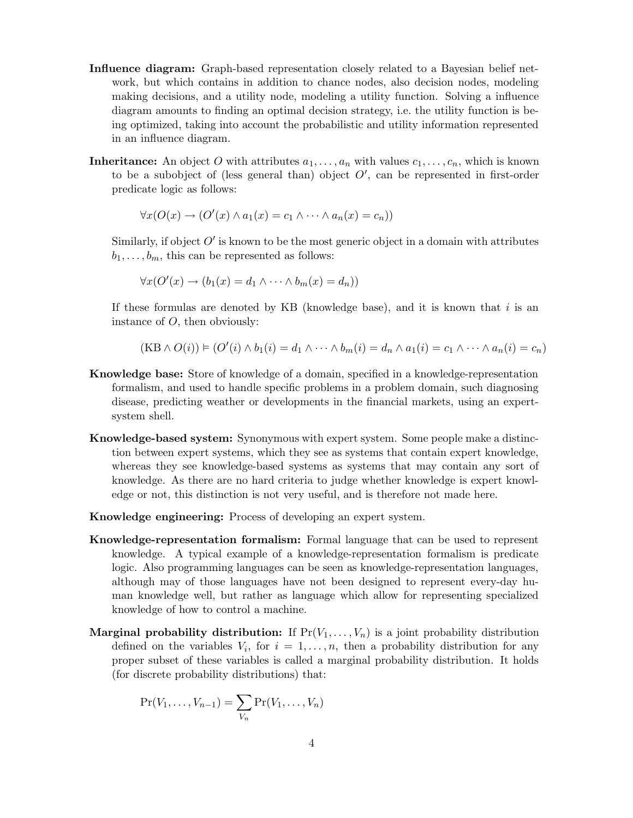- Influence diagram: Graph-based representation closely related to a Bayesian belief network, but which contains in addition to chance nodes, also decision nodes, modeling making decisions, and a utility node, modeling a utility function. Solving a influence diagram amounts to finding an optimal decision strategy, i.e. the utility function is being optimized, taking into account the probabilistic and utility information represented in an influence diagram.
- **Inheritance:** An object O with attributes  $a_1, \ldots, a_n$  with values  $c_1, \ldots, c_n$ , which is known to be a subobject of (less general than) object  $O'$ , can be represented in first-order predicate logic as follows:

$$
\forall x (O(x) \to (O'(x) \land a_1(x) = c_1 \land \cdots \land a_n(x) = c_n))
$$

Similarly, if object  $O'$  is known to be the most generic object in a domain with attributes  $b_1, \ldots, b_m$ , this can be represented as follows:

$$
\forall x (O'(x) \to (b_1(x) = d_1 \land \dots \land b_m(x) = d_n))
$$

If these formulas are denoted by KB (knowledge base), and it is known that  $i$  is an instance of  $O$ , then obviously:

$$
(KB \wedge O(i)) \vDash (O'(i) \wedge b_1(i) = d_1 \wedge \cdots \wedge b_m(i) = d_n \wedge a_1(i) = c_1 \wedge \cdots \wedge a_n(i) = c_n)
$$

- Knowledge base: Store of knowledge of a domain, specified in a knowledge-representation formalism, and used to handle specific problems in a problem domain, such diagnosing disease, predicting weather or developments in the financial markets, using an expertsystem shell.
- Knowledge-based system: Synonymous with expert system. Some people make a distinction between expert systems, which they see as systems that contain expert knowledge, whereas they see knowledge-based systems as systems that may contain any sort of knowledge. As there are no hard criteria to judge whether knowledge is expert knowledge or not, this distinction is not very useful, and is therefore not made here.
- Knowledge engineering: Process of developing an expert system.
- Knowledge-representation formalism: Formal language that can be used to represent knowledge. A typical example of a knowledge-representation formalism is predicate logic. Also programming languages can be seen as knowledge-representation languages, although may of those languages have not been designed to represent every-day human knowledge well, but rather as language which allow for representing specialized knowledge of how to control a machine.
- Marginal probability distribution: If  $Pr(V_1, \ldots, V_n)$  is a joint probability distribution defined on the variables  $V_i$ , for  $i = 1, \ldots, n$ , then a probability distribution for any proper subset of these variables is called a marginal probability distribution. It holds (for discrete probability distributions) that:

$$
\Pr(V_1,\ldots,V_{n-1})=\sum_{V_n}\Pr(V_1,\ldots,V_n)
$$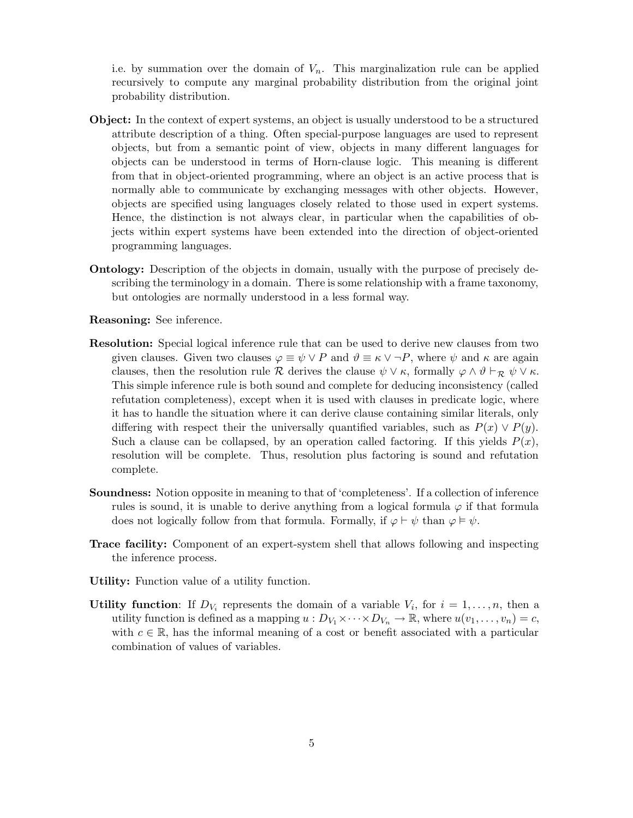i.e. by summation over the domain of  $V_n$ . This marginalization rule can be applied recursively to compute any marginal probability distribution from the original joint probability distribution.

- Object: In the context of expert systems, an object is usually understood to be a structured attribute description of a thing. Often special-purpose languages are used to represent objects, but from a semantic point of view, objects in many different languages for objects can be understood in terms of Horn-clause logic. This meaning is different from that in object-oriented programming, where an object is an active process that is normally able to communicate by exchanging messages with other objects. However, objects are specified using languages closely related to those used in expert systems. Hence, the distinction is not always clear, in particular when the capabilities of objects within expert systems have been extended into the direction of object-oriented programming languages.
- Ontology: Description of the objects in domain, usually with the purpose of precisely describing the terminology in a domain. There is some relationship with a frame taxonomy, but ontologies are normally understood in a less formal way.

Reasoning: See inference.

- Resolution: Special logical inference rule that can be used to derive new clauses from two given clauses. Given two clauses  $\varphi \equiv \psi \lor P$  and  $\vartheta \equiv \kappa \lor \neg P$ , where  $\psi$  and  $\kappa$  are again clauses, then the resolution rule R derives the clause  $\psi \vee \kappa$ , formally  $\varphi \wedge \vartheta \vdash_{\mathcal{R}} \psi \vee \kappa$ . This simple inference rule is both sound and complete for deducing inconsistency (called refutation completeness), except when it is used with clauses in predicate logic, where it has to handle the situation where it can derive clause containing similar literals, only differing with respect their the universally quantified variables, such as  $P(x) \vee P(y)$ . Such a clause can be collapsed, by an operation called factoring. If this yields  $P(x)$ , resolution will be complete. Thus, resolution plus factoring is sound and refutation complete.
- Soundness: Notion opposite in meaning to that of 'completeness'. If a collection of inference rules is sound, it is unable to derive anything from a logical formula  $\varphi$  if that formula does not logically follow from that formula. Formally, if  $\varphi \vdash \psi$  than  $\varphi \models \psi$ .
- Trace facility: Component of an expert-system shell that allows following and inspecting the inference process.
- Utility: Function value of a utility function.
- Utility function: If  $D_{V_i}$  represents the domain of a variable  $V_i$ , for  $i = 1, \ldots, n$ , then a utility function is defined as a mapping  $u : D_{V_1} \times \cdots \times D_{V_n} \to \mathbb{R}$ , where  $u(v_1, \ldots, v_n) = c$ , with  $c \in \mathbb{R}$ , has the informal meaning of a cost or benefit associated with a particular combination of values of variables.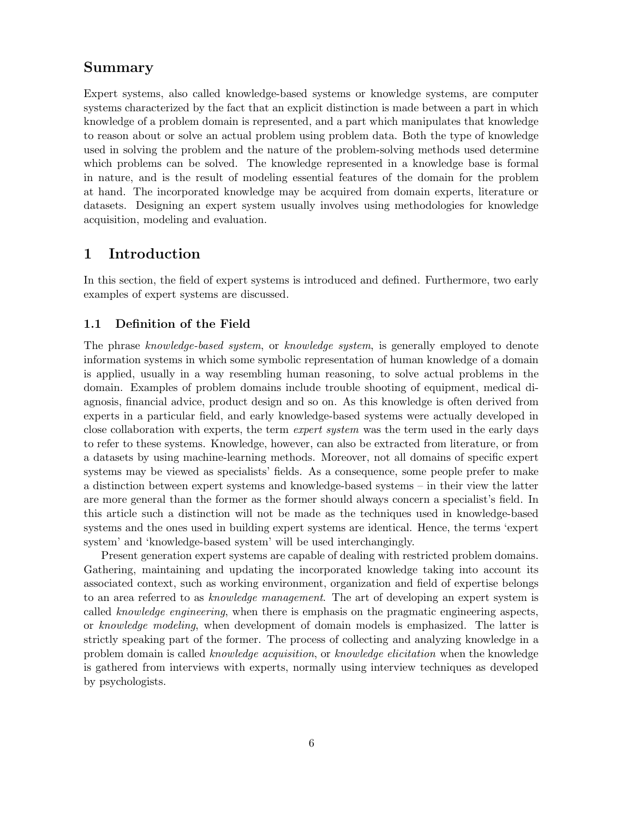## Summary

Expert systems, also called knowledge-based systems or knowledge systems, are computer systems characterized by the fact that an explicit distinction is made between a part in which knowledge of a problem domain is represented, and a part which manipulates that knowledge to reason about or solve an actual problem using problem data. Both the type of knowledge used in solving the problem and the nature of the problem-solving methods used determine which problems can be solved. The knowledge represented in a knowledge base is formal in nature, and is the result of modeling essential features of the domain for the problem at hand. The incorporated knowledge may be acquired from domain experts, literature or datasets. Designing an expert system usually involves using methodologies for knowledge acquisition, modeling and evaluation.

## 1 Introduction

In this section, the field of expert systems is introduced and defined. Furthermore, two early examples of expert systems are discussed.

## 1.1 Definition of the Field

The phrase knowledge-based system, or knowledge system, is generally employed to denote information systems in which some symbolic representation of human knowledge of a domain is applied, usually in a way resembling human reasoning, to solve actual problems in the domain. Examples of problem domains include trouble shooting of equipment, medical diagnosis, financial advice, product design and so on. As this knowledge is often derived from experts in a particular field, and early knowledge-based systems were actually developed in close collaboration with experts, the term expert system was the term used in the early days to refer to these systems. Knowledge, however, can also be extracted from literature, or from a datasets by using machine-learning methods. Moreover, not all domains of specific expert systems may be viewed as specialists' fields. As a consequence, some people prefer to make a distinction between expert systems and knowledge-based systems – in their view the latter are more general than the former as the former should always concern a specialist's field. In this article such a distinction will not be made as the techniques used in knowledge-based systems and the ones used in building expert systems are identical. Hence, the terms 'expert system' and 'knowledge-based system' will be used interchangingly.

Present generation expert systems are capable of dealing with restricted problem domains. Gathering, maintaining and updating the incorporated knowledge taking into account its associated context, such as working environment, organization and field of expertise belongs to an area referred to as *knowledge management*. The art of developing an expert system is called knowledge engineering, when there is emphasis on the pragmatic engineering aspects, or knowledge modeling, when development of domain models is emphasized. The latter is strictly speaking part of the former. The process of collecting and analyzing knowledge in a problem domain is called knowledge acquisition, or knowledge elicitation when the knowledge is gathered from interviews with experts, normally using interview techniques as developed by psychologists.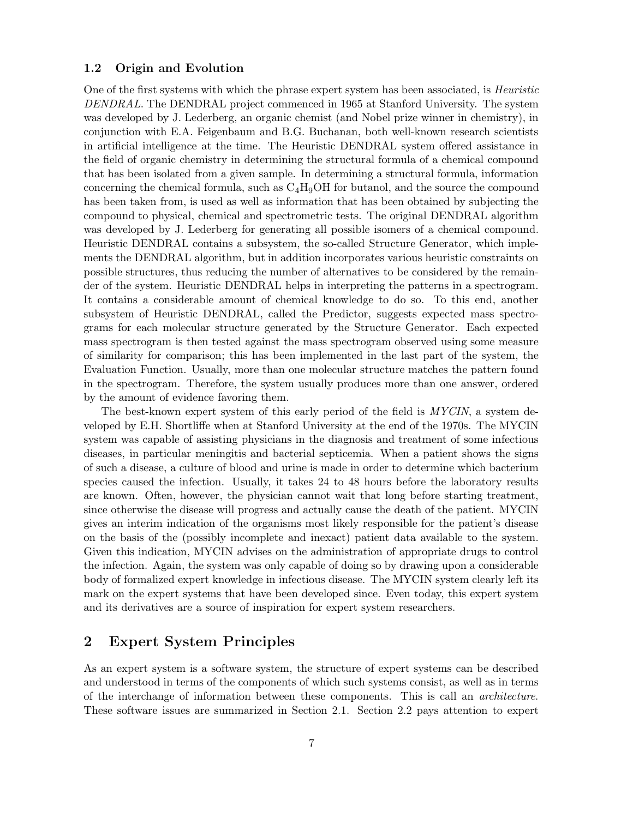## 1.2 Origin and Evolution

One of the first systems with which the phrase expert system has been associated, is *Heuristic* DENDRAL. The DENDRAL project commenced in 1965 at Stanford University. The system was developed by J. Lederberg, an organic chemist (and Nobel prize winner in chemistry), in conjunction with E.A. Feigenbaum and B.G. Buchanan, both well-known research scientists in artificial intelligence at the time. The Heuristic DENDRAL system offered assistance in the field of organic chemistry in determining the structural formula of a chemical compound that has been isolated from a given sample. In determining a structural formula, information concerning the chemical formula, such as  $C_4H_9OH$  for butanol, and the source the compound has been taken from, is used as well as information that has been obtained by subjecting the compound to physical, chemical and spectrometric tests. The original DENDRAL algorithm was developed by J. Lederberg for generating all possible isomers of a chemical compound. Heuristic DENDRAL contains a subsystem, the so-called Structure Generator, which implements the DENDRAL algorithm, but in addition incorporates various heuristic constraints on possible structures, thus reducing the number of alternatives to be considered by the remainder of the system. Heuristic DENDRAL helps in interpreting the patterns in a spectrogram. It contains a considerable amount of chemical knowledge to do so. To this end, another subsystem of Heuristic DENDRAL, called the Predictor, suggests expected mass spectrograms for each molecular structure generated by the Structure Generator. Each expected mass spectrogram is then tested against the mass spectrogram observed using some measure of similarity for comparison; this has been implemented in the last part of the system, the Evaluation Function. Usually, more than one molecular structure matches the pattern found in the spectrogram. Therefore, the system usually produces more than one answer, ordered by the amount of evidence favoring them.

The best-known expert system of this early period of the field is MYCIN, a system developed by E.H. Shortliffe when at Stanford University at the end of the 1970s. The MYCIN system was capable of assisting physicians in the diagnosis and treatment of some infectious diseases, in particular meningitis and bacterial septicemia. When a patient shows the signs of such a disease, a culture of blood and urine is made in order to determine which bacterium species caused the infection. Usually, it takes 24 to 48 hours before the laboratory results are known. Often, however, the physician cannot wait that long before starting treatment, since otherwise the disease will progress and actually cause the death of the patient. MYCIN gives an interim indication of the organisms most likely responsible for the patient's disease on the basis of the (possibly incomplete and inexact) patient data available to the system. Given this indication, MYCIN advises on the administration of appropriate drugs to control the infection. Again, the system was only capable of doing so by drawing upon a considerable body of formalized expert knowledge in infectious disease. The MYCIN system clearly left its mark on the expert systems that have been developed since. Even today, this expert system and its derivatives are a source of inspiration for expert system researchers.

# 2 Expert System Principles

As an expert system is a software system, the structure of expert systems can be described and understood in terms of the components of which such systems consist, as well as in terms of the interchange of information between these components. This is call an architecture. These software issues are summarized in Section 2.1. Section 2.2 pays attention to expert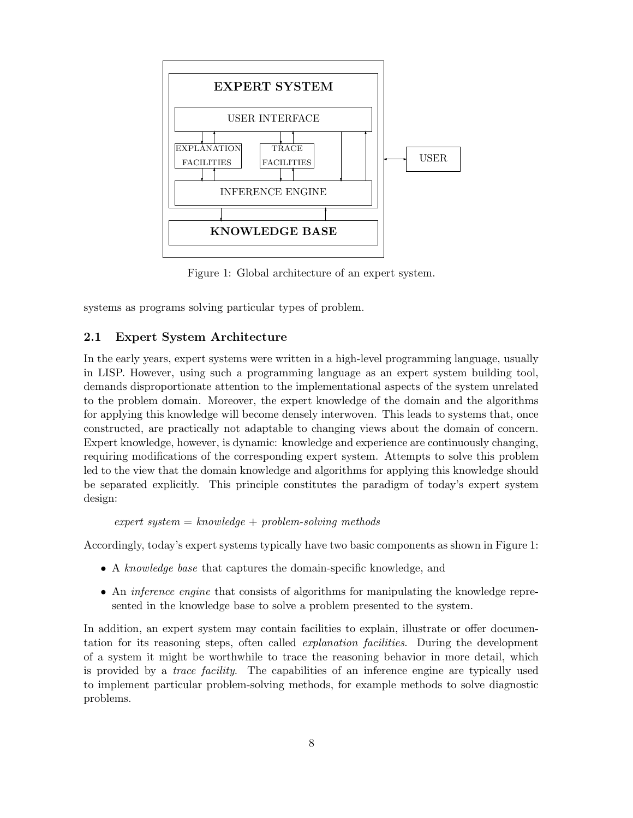

Figure 1: Global architecture of an expert system.

systems as programs solving particular types of problem.

### 2.1 Expert System Architecture

In the early years, expert systems were written in a high-level programming language, usually in LISP. However, using such a programming language as an expert system building tool, demands disproportionate attention to the implementational aspects of the system unrelated to the problem domain. Moreover, the expert knowledge of the domain and the algorithms for applying this knowledge will become densely interwoven. This leads to systems that, once constructed, are practically not adaptable to changing views about the domain of concern. Expert knowledge, however, is dynamic: knowledge and experience are continuously changing, requiring modifications of the corresponding expert system. Attempts to solve this problem led to the view that the domain knowledge and algorithms for applying this knowledge should be separated explicitly. This principle constitutes the paradigm of today's expert system design:

```
expert\ system = knowledge + problem-solving\ methods
```
Accordingly, today's expert systems typically have two basic components as shown in Figure 1:

- A knowledge base that captures the domain-specific knowledge, and
- An *inference engine* that consists of algorithms for manipulating the knowledge represented in the knowledge base to solve a problem presented to the system.

In addition, an expert system may contain facilities to explain, illustrate or offer documentation for its reasoning steps, often called explanation facilities. During the development of a system it might be worthwhile to trace the reasoning behavior in more detail, which is provided by a trace facility. The capabilities of an inference engine are typically used to implement particular problem-solving methods, for example methods to solve diagnostic problems.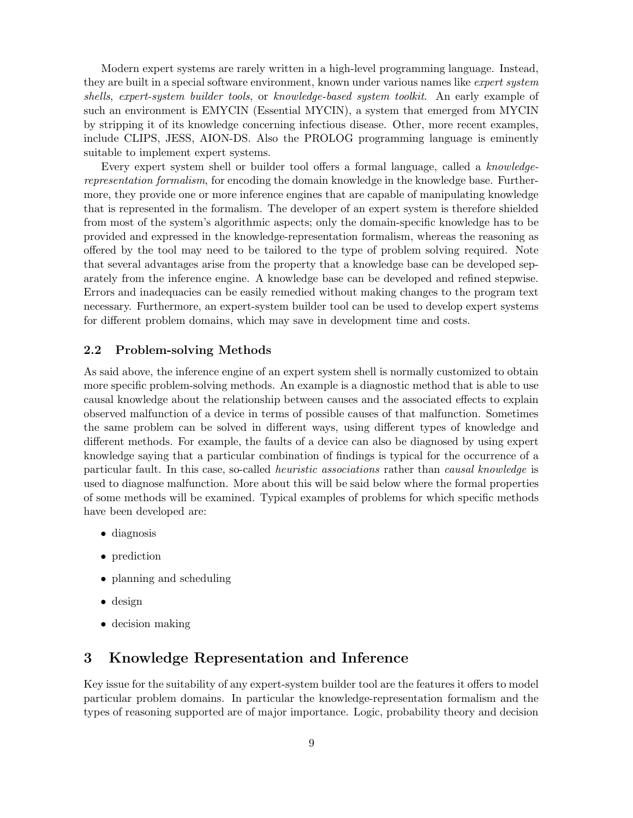Modern expert systems are rarely written in a high-level programming language. Instead, they are built in a special software environment, known under various names like *expert system* shells, expert-system builder tools, or knowledge-based system toolkit. An early example of such an environment is EMYCIN (Essential MYCIN), a system that emerged from MYCIN by stripping it of its knowledge concerning infectious disease. Other, more recent examples, include CLIPS, JESS, AION-DS. Also the PROLOG programming language is eminently suitable to implement expert systems.

Every expert system shell or builder tool offers a formal language, called a knowledgerepresentation formalism, for encoding the domain knowledge in the knowledge base. Furthermore, they provide one or more inference engines that are capable of manipulating knowledge that is represented in the formalism. The developer of an expert system is therefore shielded from most of the system's algorithmic aspects; only the domain-specific knowledge has to be provided and expressed in the knowledge-representation formalism, whereas the reasoning as offered by the tool may need to be tailored to the type of problem solving required. Note that several advantages arise from the property that a knowledge base can be developed separately from the inference engine. A knowledge base can be developed and refined stepwise. Errors and inadequacies can be easily remedied without making changes to the program text necessary. Furthermore, an expert-system builder tool can be used to develop expert systems for different problem domains, which may save in development time and costs.

## 2.2 Problem-solving Methods

As said above, the inference engine of an expert system shell is normally customized to obtain more specific problem-solving methods. An example is a diagnostic method that is able to use causal knowledge about the relationship between causes and the associated effects to explain observed malfunction of a device in terms of possible causes of that malfunction. Sometimes the same problem can be solved in different ways, using different types of knowledge and different methods. For example, the faults of a device can also be diagnosed by using expert knowledge saying that a particular combination of findings is typical for the occurrence of a particular fault. In this case, so-called heuristic associations rather than causal knowledge is used to diagnose malfunction. More about this will be said below where the formal properties of some methods will be examined. Typical examples of problems for which specific methods have been developed are:

- diagnosis
- prediction
- planning and scheduling
- design
- decision making

# 3 Knowledge Representation and Inference

Key issue for the suitability of any expert-system builder tool are the features it offers to model particular problem domains. In particular the knowledge-representation formalism and the types of reasoning supported are of major importance. Logic, probability theory and decision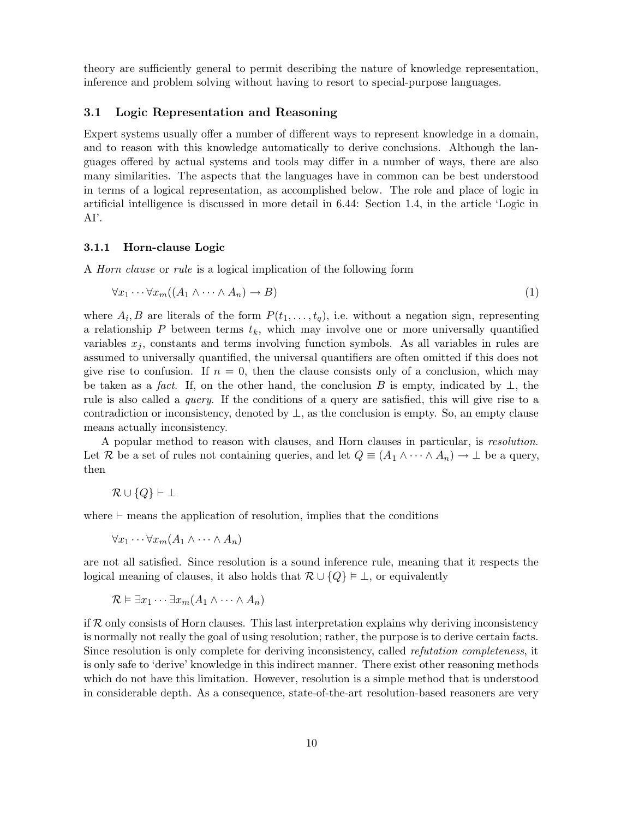theory are sufficiently general to permit describing the nature of knowledge representation, inference and problem solving without having to resort to special-purpose languages.

### 3.1 Logic Representation and Reasoning

Expert systems usually offer a number of different ways to represent knowledge in a domain, and to reason with this knowledge automatically to derive conclusions. Although the languages offered by actual systems and tools may differ in a number of ways, there are also many similarities. The aspects that the languages have in common can be best understood in terms of a logical representation, as accomplished below. The role and place of logic in artificial intelligence is discussed in more detail in 6.44: Section 1.4, in the article 'Logic in AI'.

#### 3.1.1 Horn-clause Logic

A Horn clause or rule is a logical implication of the following form

$$
\forall x_1 \cdots \forall x_m ((A_1 \land \cdots \land A_n) \to B) \tag{1}
$$

where  $A_i, B$  are literals of the form  $P(t_1, \ldots, t_q)$ , i.e. without a negation sign, representing a relationship P between terms  $t_k$ , which may involve one or more universally quantified variables  $x_j$ , constants and terms involving function symbols. As all variables in rules are assumed to universally quantified, the universal quantifiers are often omitted if this does not give rise to confusion. If  $n = 0$ , then the clause consists only of a conclusion, which may be taken as a fact. If, on the other hand, the conclusion B is empty, indicated by  $\perp$ , the rule is also called a query. If the conditions of a query are satisfied, this will give rise to a contradiction or inconsistency, denoted by  $\perp$ , as the conclusion is empty. So, an empty clause means actually inconsistency.

A popular method to reason with clauses, and Horn clauses in particular, is resolution. Let R be a set of rules not containing queries, and let  $Q \equiv (A_1 \wedge \cdots \wedge A_n) \rightarrow \bot$  be a query, then

$$
\mathcal{R} \cup \{Q\} \vdash \bot
$$

where  $\vdash$  means the application of resolution, implies that the conditions

$$
\forall x_1 \cdots \forall x_m (A_1 \wedge \cdots \wedge A_n)
$$

are not all satisfied. Since resolution is a sound inference rule, meaning that it respects the logical meaning of clauses, it also holds that  $\mathcal{R} \cup \{Q\} \models \bot$ , or equivalently

$$
\mathcal{R} \vDash \exists x_1 \cdots \exists x_m (A_1 \wedge \cdots \wedge A_n)
$$

if  $R$  only consists of Horn clauses. This last interpretation explains why deriving inconsistency is normally not really the goal of using resolution; rather, the purpose is to derive certain facts. Since resolution is only complete for deriving inconsistency, called *refutation completeness*, it is only safe to 'derive' knowledge in this indirect manner. There exist other reasoning methods which do not have this limitation. However, resolution is a simple method that is understood in considerable depth. As a consequence, state-of-the-art resolution-based reasoners are very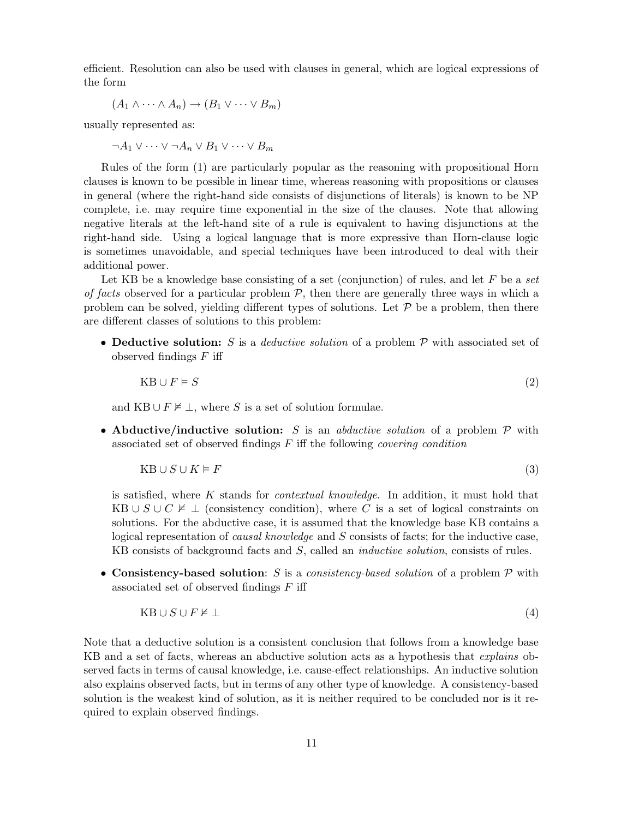efficient. Resolution can also be used with clauses in general, which are logical expressions of the form

$$
(A_1 \wedge \cdots \wedge A_n) \rightarrow (B_1 \vee \cdots \vee B_m)
$$

usually represented as:

$$
\neg A_1 \vee \cdots \vee \neg A_n \vee B_1 \vee \cdots \vee B_m
$$

Rules of the form (1) are particularly popular as the reasoning with propositional Horn clauses is known to be possible in linear time, whereas reasoning with propositions or clauses in general (where the right-hand side consists of disjunctions of literals) is known to be NP complete, i.e. may require time exponential in the size of the clauses. Note that allowing negative literals at the left-hand site of a rule is equivalent to having disjunctions at the right-hand side. Using a logical language that is more expressive than Horn-clause logic is sometimes unavoidable, and special techniques have been introduced to deal with their additional power.

Let KB be a knowledge base consisting of a set (conjunction) of rules, and let F be a set of facts observed for a particular problem  $P$ , then there are generally three ways in which a problem can be solved, yielding different types of solutions. Let  $P$  be a problem, then there are different classes of solutions to this problem:

• Deductive solution: S is a *deductive solution* of a problem  $P$  with associated set of observed findings  $F$  iff

$$
KB \cup F \models S \tag{2}
$$

and KB ∪  $F \not\models \bot$ , where S is a set of solution formulae.

• Abductive/inductive solution: S is an abductive solution of a problem  $\mathcal P$  with associated set of observed findings  $F$  iff the following *covering condition* 

$$
KB \cup S \cup K \models F \tag{3}
$$

is satisfied, where K stands for *contextual knowledge*. In addition, it must hold that KB ∪  $S \cup C \not\models \bot$  (consistency condition), where C is a set of logical constraints on solutions. For the abductive case, it is assumed that the knowledge base KB contains a logical representation of *causal knowledge* and S consists of facts; for the inductive case, KB consists of background facts and S, called an *inductive solution*, consists of rules.

• Consistency-based solution: S is a consistency-based solution of a problem  $P$  with associated set of observed findings  $F$  iff

$$
KB \cup S \cup F \nvDash \bot \tag{4}
$$

Note that a deductive solution is a consistent conclusion that follows from a knowledge base KB and a set of facts, whereas an abductive solution acts as a hypothesis that *explains* observed facts in terms of causal knowledge, i.e. cause-effect relationships. An inductive solution also explains observed facts, but in terms of any other type of knowledge. A consistency-based solution is the weakest kind of solution, as it is neither required to be concluded nor is it required to explain observed findings.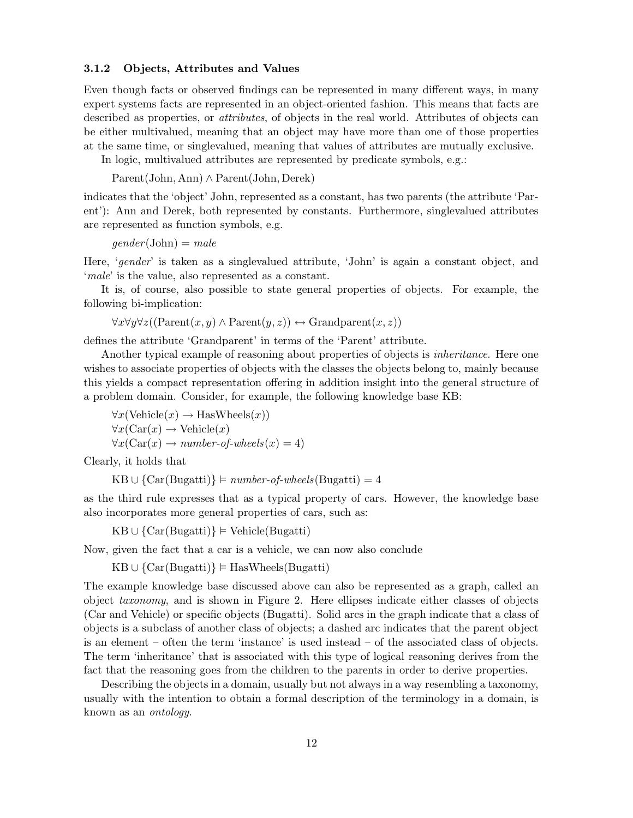#### 3.1.2 Objects, Attributes and Values

Even though facts or observed findings can be represented in many different ways, in many expert systems facts are represented in an object-oriented fashion. This means that facts are described as properties, or *attributes*, of objects in the real world. Attributes of objects can be either multivalued, meaning that an object may have more than one of those properties at the same time, or singlevalued, meaning that values of attributes are mutually exclusive.

In logic, multivalued attributes are represented by predicate symbols, e.g.:

Parent(John, Ann) ∧ Parent(John, Derek)

indicates that the 'object' John, represented as a constant, has two parents (the attribute 'Parent'): Ann and Derek, both represented by constants. Furthermore, singlevalued attributes are represented as function symbols, e.g.

 $gender(John) = male$ 

Here, 'gender' is taken as a singlevalued attribute, 'John' is again a constant object, and 'male' is the value, also represented as a constant.

It is, of course, also possible to state general properties of objects. For example, the following bi-implication:

 $\forall x \forall y \forall z ((\text{Parent}(x, y) \land \text{Parent}(y, z)) \leftrightarrow \text{Grandparent}(x, z))$ 

defines the attribute 'Grandparent' in terms of the 'Parent' attribute.

Another typical example of reasoning about properties of objects is inheritance. Here one wishes to associate properties of objects with the classes the objects belong to, mainly because this yields a compact representation offering in addition insight into the general structure of a problem domain. Consider, for example, the following knowledge base KB:

 $\forall x(\text{Vehicle}(x) \rightarrow \text{HasWheels}(x))$  $\forall x (\text{Car}(x) \rightarrow \text{Vehicle}(x))$  $\forall x (\text{Car}(x) \rightarrow number-of-wheels(x) = 4)$ 

Clearly, it holds that

 $KB \cup \{Car(Bugatti)\}\models number-of-wheels(Bugatti)=4$ 

as the third rule expresses that as a typical property of cars. However, the knowledge base also incorporates more general properties of cars, such as:

 $KB \cup \{Car(Bugatti)\}\models Vehicle(Bugatti)$ 

Now, given the fact that a car is a vehicle, we can now also conclude

 $KB \cup \{Car(Bugatti)\}\models HasWheels(Bugatti)$ 

The example knowledge base discussed above can also be represented as a graph, called an object taxonomy, and is shown in Figure 2. Here ellipses indicate either classes of objects (Car and Vehicle) or specific objects (Bugatti). Solid arcs in the graph indicate that a class of objects is a subclass of another class of objects; a dashed arc indicates that the parent object is an element – often the term 'instance' is used instead – of the associated class of objects. The term 'inheritance' that is associated with this type of logical reasoning derives from the fact that the reasoning goes from the children to the parents in order to derive properties.

Describing the objects in a domain, usually but not always in a way resembling a taxonomy, usually with the intention to obtain a formal description of the terminology in a domain, is known as an ontology.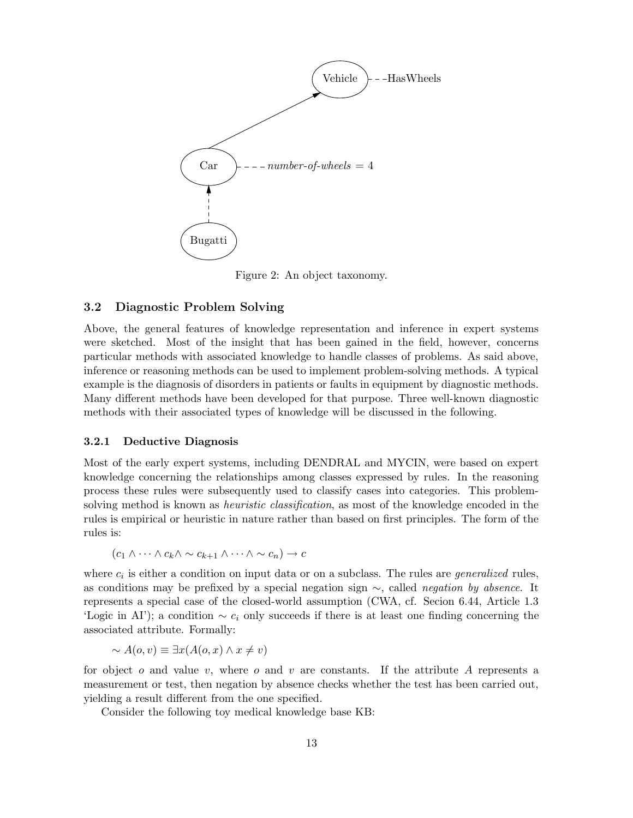

Figure 2: An object taxonomy.

## 3.2 Diagnostic Problem Solving

Above, the general features of knowledge representation and inference in expert systems were sketched. Most of the insight that has been gained in the field, however, concerns particular methods with associated knowledge to handle classes of problems. As said above, inference or reasoning methods can be used to implement problem-solving methods. A typical example is the diagnosis of disorders in patients or faults in equipment by diagnostic methods. Many different methods have been developed for that purpose. Three well-known diagnostic methods with their associated types of knowledge will be discussed in the following.

#### 3.2.1 Deductive Diagnosis

Most of the early expert systems, including DENDRAL and MYCIN, were based on expert knowledge concerning the relationships among classes expressed by rules. In the reasoning process these rules were subsequently used to classify cases into categories. This problemsolving method is known as *heuristic classification*, as most of the knowledge encoded in the rules is empirical or heuristic in nature rather than based on first principles. The form of the rules is:

$$
(c_1 \wedge \cdots \wedge c_k \wedge \sim c_{k+1} \wedge \cdots \wedge \sim c_n) \to c
$$

where  $c_i$  is either a condition on input data or on a subclass. The rules are *generalized* rules, as conditions may be prefixed by a special negation sign ∼, called negation by absence. It represents a special case of the closed-world assumption (CWA, cf. Secion 6.44, Article 1.3 'Logic in AI'); a condition  $\sim c_i$  only succeeds if there is at least one finding concerning the associated attribute. Formally:

$$
\sim A(o, v) \equiv \exists x (A(o, x) \land x \neq v)
$$

for object  $o$  and value  $v$ , where  $o$  and  $v$  are constants. If the attribute  $A$  represents a measurement or test, then negation by absence checks whether the test has been carried out, yielding a result different from the one specified.

Consider the following toy medical knowledge base KB: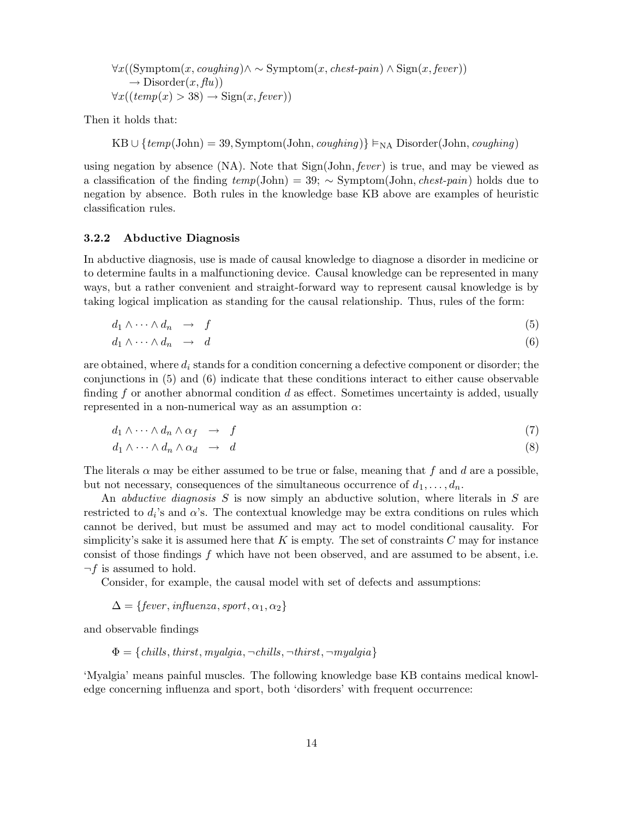$$
\forall x ((\text{Symptom}(x, coupling) \land \sim \text{Symptom}(x, chest-pain) \land \text{Sign}(x, fever)) \rightarrow \text{Disorder}(x, flu)) \forall x ((temp(x) > 38) \rightarrow \text{Sign}(x, fever))
$$

Then it holds that:

KB ∪ {temp(John) = 39, Symptom(John, coughing)}  $\models_{NA}$  Disorder(John, coughing)

using negation by absence  $(NA)$ . Note that  $Sign(John, fever)$  is true, and may be viewed as a classification of the finding  $temp(John) = 39$ ; ∼ Symptom(John, *chest-pain*) holds due to negation by absence. Both rules in the knowledge base KB above are examples of heuristic classification rules.

### 3.2.2 Abductive Diagnosis

In abductive diagnosis, use is made of causal knowledge to diagnose a disorder in medicine or to determine faults in a malfunctioning device. Causal knowledge can be represented in many ways, but a rather convenient and straight-forward way to represent causal knowledge is by taking logical implication as standing for the causal relationship. Thus, rules of the form:

$$
d_1 \wedge \cdots \wedge d_n \quad \to \quad f \tag{5}
$$

$$
d_1 \wedge \cdots \wedge d_n \quad \to \quad d \tag{6}
$$

are obtained, where  $d_i$  stands for a condition concerning a defective component or disorder; the conjunctions in (5) and (6) indicate that these conditions interact to either cause observable finding f or another abnormal condition  $d$  as effect. Sometimes uncertainty is added, usually represented in a non-numerical way as an assumption  $\alpha$ :

$$
d_1 \wedge \cdots \wedge d_n \wedge \alpha_f \quad \to \quad f \tag{7}
$$

$$
d_1 \wedge \cdots \wedge d_n \wedge \alpha_d \quad \to \quad d \tag{8}
$$

The literals  $\alpha$  may be either assumed to be true or false, meaning that f and d are a possible, but not necessary, consequences of the simultaneous occurrence of  $d_1, \ldots, d_n$ .

An *abductive diagnosis*  $S$  is now simply an abductive solution, where literals in  $S$  are restricted to  $d_i$ 's and  $\alpha$ 's. The contextual knowledge may be extra conditions on rules which cannot be derived, but must be assumed and may act to model conditional causality. For simplicity's sake it is assumed here that  $K$  is empty. The set of constraints  $C$  may for instance consist of those findings f which have not been observed, and are assumed to be absent, i.e.  $\neg f$  is assumed to hold.

Consider, for example, the causal model with set of defects and assumptions:

$$
\Delta = \{fever, influenza, sport, \alpha_1, \alpha_2\}
$$

and observable findings

$$
\Phi = \{ \textit{chills}, \textit{thirst}, \textit{myalgia}, \neg \textit{chills}, \neg \textit{thirst}, \neg \textit{myalgia} \}
$$

'Myalgia' means painful muscles. The following knowledge base KB contains medical knowledge concerning influenza and sport, both 'disorders' with frequent occurrence: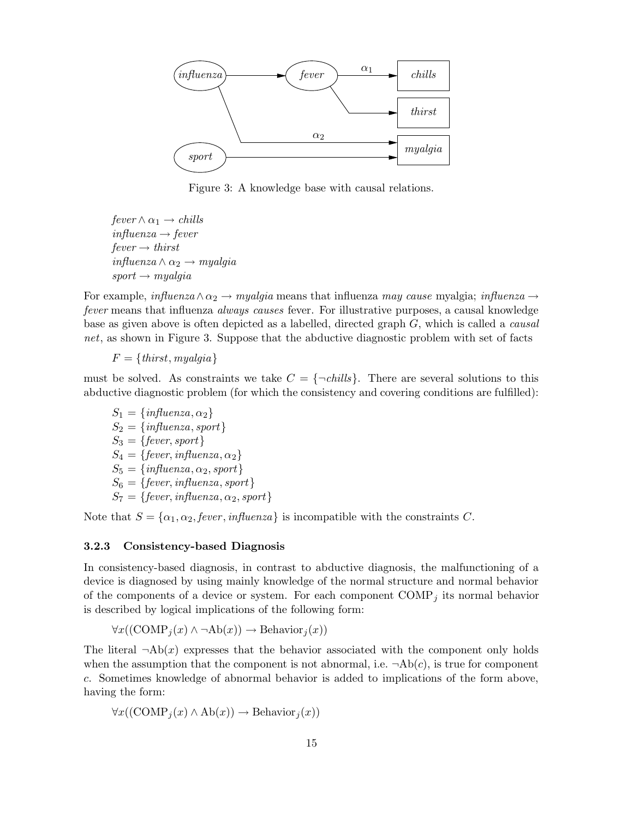

Figure 3: A knowledge base with causal relations.

 $fever \wedge \alpha_1 \rightarrow \text{chills}$  $influenza \rightarrow fever$  $fever \rightarrow thirst$  $influenza \wedge \alpha_2 \rightarrow myalgia$  $sport \rightarrow myalgia$ 

For example,  $\text{influenza}\wedge\alpha_2\rightarrow \text{myalgia}$  means that influenza may cause myalgia;  $\text{influenza}\rightarrow$ fever means that influenza always causes fever. For illustrative purposes, a causal knowledge base as given above is often depicted as a labelled, directed graph G, which is called a causal net, as shown in Figure 3. Suppose that the abductive diagnostic problem with set of facts

 $F = \{thirst, myalgia\}$ 

must be solved. As constraints we take  $C = \{\neg \text{chills}\}\.$  There are several solutions to this abductive diagnostic problem (for which the consistency and covering conditions are fulfilled):

 $S_1 = \{influenza, \alpha_2\}$  $S_2 = \{influenza, sport\}$  $S_3 = \{fever, sport\}$  $S_4 = \{fever, influenza, \alpha_2\}$  $S_5 = \{influenza, \alpha_2, sport\}$  $S_6 = \{fever, influenza, sport\}$  $S_7 = \{fever, influenza, \alpha_2, sport\}$ 

Note that  $S = {\alpha_1, \alpha_2, fewer, influenza}$  is incompatible with the constraints C.

#### 3.2.3 Consistency-based Diagnosis

In consistency-based diagnosis, in contrast to abductive diagnosis, the malfunctioning of a device is diagnosed by using mainly knowledge of the normal structure and normal behavior of the components of a device or system. For each component  $\text{COMP}_j$  its normal behavior is described by logical implications of the following form:

$$
\forall x((\text{COMP}_j(x) \land \neg \text{Ab}(x)) \to \text{Behavior}_j(x))
$$

The literal  $\neg Ab(x)$  expresses that the behavior associated with the component only holds when the assumption that the component is not abnormal, i.e.  $\neg Ab(c)$ , is true for component c. Sometimes knowledge of abnormal behavior is added to implications of the form above, having the form:

$$
\forall x ((\text{COMP}_j(x) \land \text{Ab}(x)) \rightarrow \text{Behavior}_j(x))
$$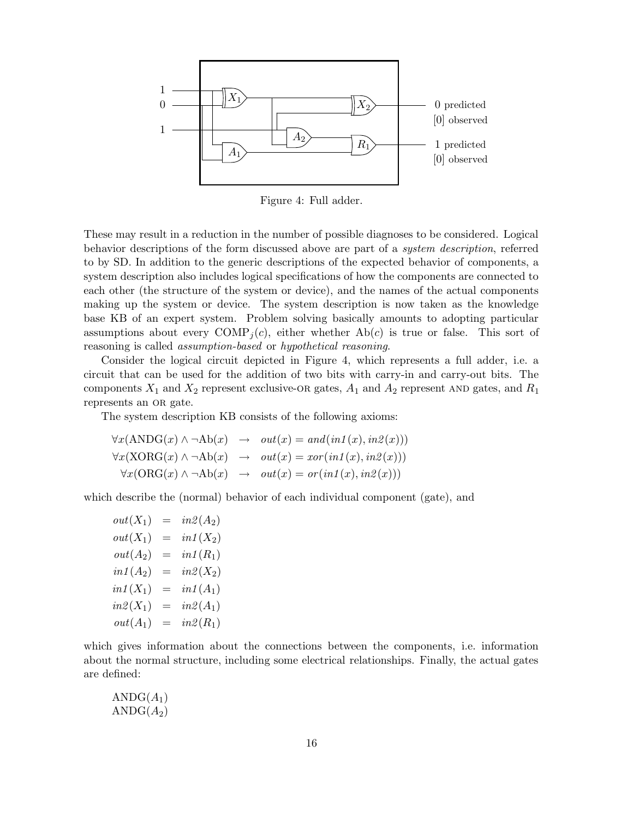

Figure 4: Full adder.

These may result in a reduction in the number of possible diagnoses to be considered. Logical behavior descriptions of the form discussed above are part of a system description, referred to by SD. In addition to the generic descriptions of the expected behavior of components, a system description also includes logical specifications of how the components are connected to each other (the structure of the system or device), and the names of the actual components making up the system or device. The system description is now taken as the knowledge base KB of an expert system. Problem solving basically amounts to adopting particular assumptions about every COMP<sub>j</sub>(c), either whether  $Ab(c)$  is true or false. This sort of reasoning is called assumption-based or hypothetical reasoning.

Consider the logical circuit depicted in Figure 4, which represents a full adder, i.e. a circuit that can be used for the addition of two bits with carry-in and carry-out bits. The components  $X_1$  and  $X_2$  represent exclusive-OR gates,  $A_1$  and  $A_2$  represent AND gates, and  $R_1$ represents an OR gate.

The system description KB consists of the following axioms:

$$
\forall x (\text{ANDG}(x) \land \neg \text{Ab}(x) \rightarrow out(x) = and(in1(x), in2(x)))
$$
  

$$
\forall x (\text{XORG}(x) \land \neg \text{Ab}(x) \rightarrow out(x) = xor(in1(x), in2(x)))
$$
  

$$
\forall x (\text{ORG}(x) \land \neg \text{Ab}(x) \rightarrow out(x) = or(in1(x), in2(x)))
$$

which describe the (normal) behavior of each individual component (gate), and

 $out(X_1) = in\mathcal{Z}(A_2)$  $out(X_1) = in1(X_2)$  $out(A_2) = in1(R_1)$  $in1 (A_2) = in2(X_2)$  $in1(X_1) = in1(A_1)$  $in2(X_1) = in2(A_1)$  $out(A_1) = in2(R_1)$ 

which gives information about the connections between the components, i.e. information about the normal structure, including some electrical relationships. Finally, the actual gates are defined:

$$
\frac{\text{ANDG}(A_1)}{\text{ANDG}(A_2)}
$$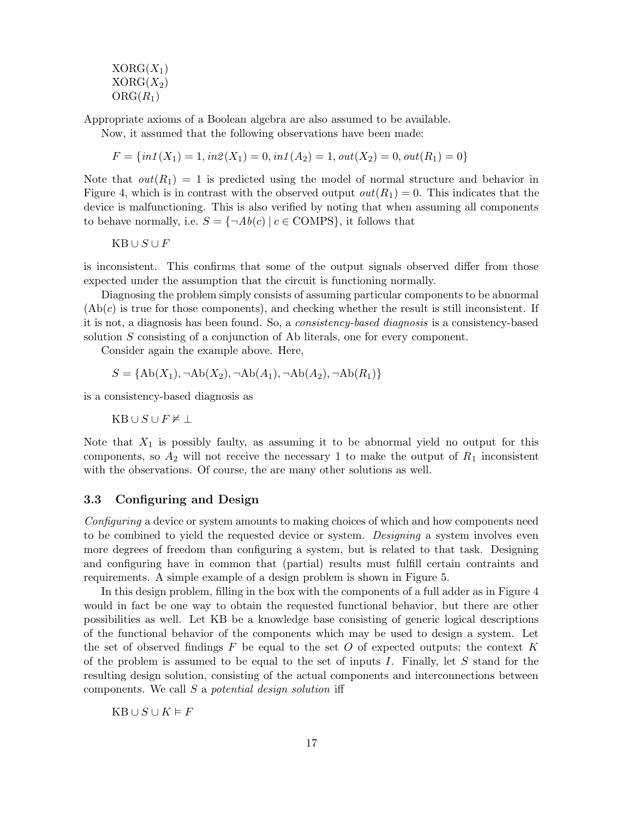$XORG(X_1)$  $XORG(X_2)$  $ORG(R_1)$ 

Appropriate axioms of a Boolean algebra are also assumed to be available.

Now, it assumed that the following observations have been made:

 $F = \{in1(X_1) = 1, in2(X_1) = 0, in1(A_2) = 1, out(X_2) = 0, out(R_1) = 0\}$ 

Note that  $out(R_1) = 1$  is predicted using the model of normal structure and behavior in Figure 4, which is in contrast with the observed output  $out(R_1) = 0$ . This indicates that the device is malfunctioning. This is also verified by noting that when assuming all components to behave normally, i.e.  $S = \{\neg Ab(c) \mid c \in \text{COMPS}\},\$ it follows that

 $\mathbf{KB} \cup S \cup F$ 

is inconsistent. This confirms that some of the output signals observed differ from those expected under the assumption that the circuit is functioning normally.

Diagnosing the problem simply consists of assuming particular components to be abnormal  $(Ab(c)$  is true for those components), and checking whether the result is still inconsistent. If it is not, a diagnosis has been found. So, a consistency-based diagnosis is a consistency-based solution S consisting of a conjunction of Ab literals, one for every component.

Consider again the example above. Here,

$$
S = \{ Ab(X_1), \neg Ab(X_2), \neg Ab(A_1), \neg Ab(A_2), \neg Ab(R_1) \}
$$

is a consistency-based diagnosis as

 $KB \cup S \cup F \nvDash \bot$ 

Note that  $X_1$  is possibly faulty, as assuming it to be abnormal yield no output for this components, so  $A_2$  will not receive the necessary 1 to make the output of  $R_1$  inconsistent with the observations. Of course, the are many other solutions as well.

## 3.3 Configuring and Design

Configuring a device or system amounts to making choices of which and how components need to be combined to yield the requested device or system. Designing a system involves even more degrees of freedom than configuring a system, but is related to that task. Designing and configuring have in common that (partial) results must fulfill certain contraints and requirements. A simple example of a design problem is shown in Figure 5.

In this design problem, filling in the box with the components of a full adder as in Figure 4 would in fact be one way to obtain the requested functional behavior, but there are other possibilities as well. Let KB be a knowledge base consisting of generic logical descriptions of the functional behavior of the components which may be used to design a system. Let the set of observed findings  $F$  be equal to the set  $O$  of expected outputs; the context  $K$ of the problem is assumed to be equal to the set of inputs I. Finally, let  $S$  stand for the resulting design solution, consisting of the actual components and interconnections between components. We call S a potential design solution iff

 $KB \cup S \cup K \models F$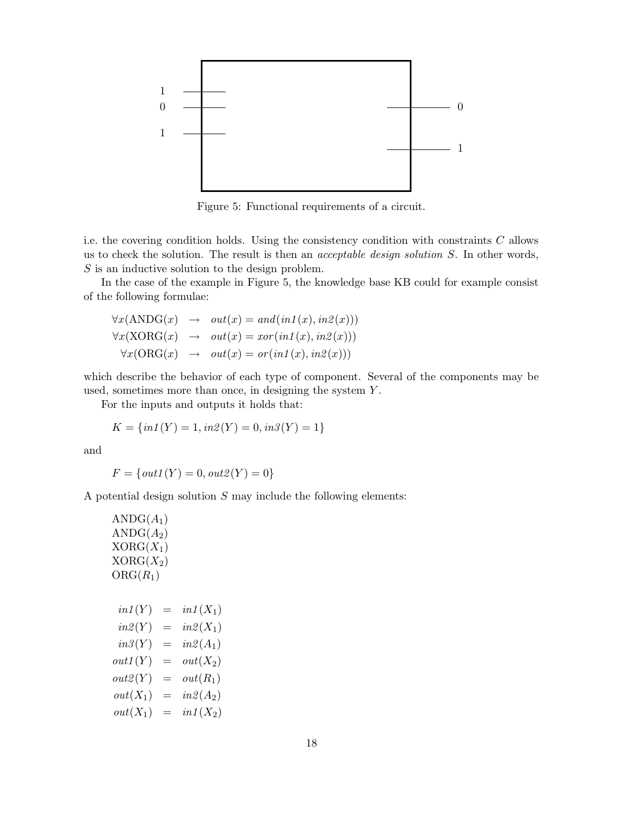

Figure 5: Functional requirements of a circuit.

i.e. the covering condition holds. Using the consistency condition with constraints C allows us to check the solution. The result is then an acceptable design solution S. In other words, S is an inductive solution to the design problem.

In the case of the example in Figure 5, the knowledge base KB could for example consist of the following formulae:

$$
\forall x (\text{ANDG}(x) \rightarrow out(x) = and(in1(x), in2(x)))
$$
  

$$
\forall x (\text{XORG}(x) \rightarrow out(x) = xor(in1(x), in2(x)))
$$
  

$$
\forall x (\text{ORG}(x) \rightarrow out(x) = or(in1(x), in2(x)))
$$

which describe the behavior of each type of component. Several of the components may be used, sometimes more than once, in designing the system Y.

For the inputs and outputs it holds that:

$$
K = \{ in1(Y) = 1, in2(Y) = 0, in3(Y) = 1 \}
$$

and

$$
F = \{out1(Y) = 0, out2(Y) = 0\}
$$

A potential design solution  $S$  may include the following elements:

$$
ANDG(A_1)
$$
  
\n
$$
ANDG(A_2)
$$
  
\n
$$
XORG(X_1)
$$
  
\n
$$
XORG(X_2)
$$
  
\n
$$
ORG(R_1)
$$
  
\n
$$
in1(Y) = in1(X_1)
$$
  
\n
$$
in2(Y) = in2(X_1)
$$
  
\n
$$
in3(Y) = in2(A_1)
$$
  
\n
$$
out1(Y) = out(K_2)
$$
  
\n
$$
out2(Y) = out(R_1)
$$
  
\n
$$
out(X_1) = in2(A_2)
$$
  
\n
$$
out(X_1) = in1(X_2)
$$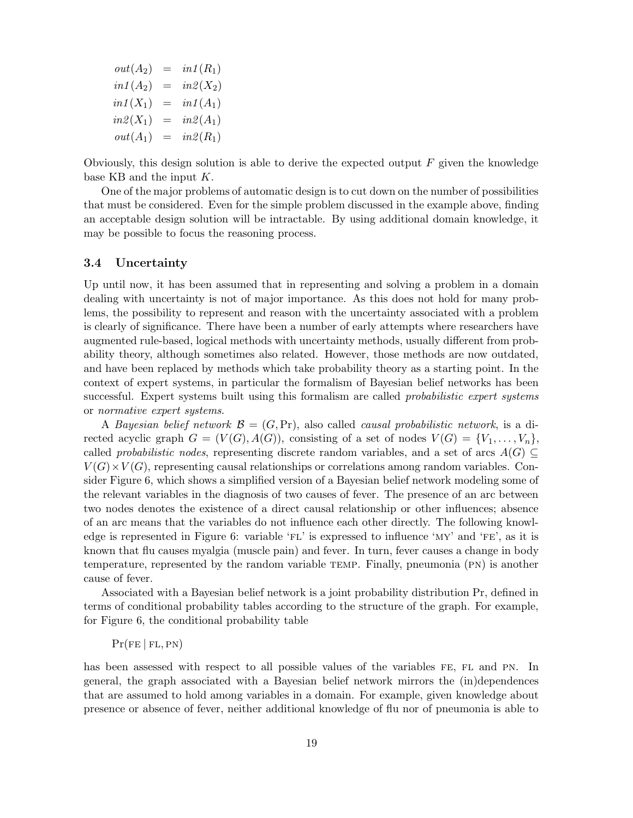$out(A_2) = in1(R_1)$  $in1 (A_2) = in2(X_2)$  $in1(X_1) = in1(A_1)$  $in2(X_1) = in2(A_1)$  $out(A_1) = in2(R_1)$ 

Obviously, this design solution is able to derive the expected output  $F$  given the knowledge base KB and the input  $K$ .

One of the major problems of automatic design is to cut down on the number of possibilities that must be considered. Even for the simple problem discussed in the example above, finding an acceptable design solution will be intractable. By using additional domain knowledge, it may be possible to focus the reasoning process.

#### 3.4 Uncertainty

Up until now, it has been assumed that in representing and solving a problem in a domain dealing with uncertainty is not of major importance. As this does not hold for many problems, the possibility to represent and reason with the uncertainty associated with a problem is clearly of significance. There have been a number of early attempts where researchers have augmented rule-based, logical methods with uncertainty methods, usually different from probability theory, although sometimes also related. However, those methods are now outdated, and have been replaced by methods which take probability theory as a starting point. In the context of expert systems, in particular the formalism of Bayesian belief networks has been successful. Expert systems built using this formalism are called *probabilistic expert systems* or normative expert systems.

A Bayesian belief network  $\mathcal{B} = (G, Pr)$ , also called *causal probabilistic network*, is a directed acyclic graph  $G = (V(G), A(G))$ , consisting of a set of nodes  $V(G) = \{V_1, \ldots, V_n\}$ , called probabilistic nodes, representing discrete random variables, and a set of arcs  $A(G) \subseteq$  $V(G) \times V(G)$ , representing causal relationships or correlations among random variables. Consider Figure 6, which shows a simplified version of a Bayesian belief network modeling some of the relevant variables in the diagnosis of two causes of fever. The presence of an arc between two nodes denotes the existence of a direct causal relationship or other influences; absence of an arc means that the variables do not influence each other directly. The following knowledge is represented in Figure 6: variable  $F<sup>L</sup>$  is expressed to influence 'MY' and 'FE', as it is known that flu causes myalgia (muscle pain) and fever. In turn, fever causes a change in body temperature, represented by the random variable temp. Finally, pneumonia (pn) is another cause of fever.

Associated with a Bayesian belief network is a joint probability distribution Pr, defined in terms of conditional probability tables according to the structure of the graph. For example, for Figure 6, the conditional probability table

#### $Pr(FE | FL, PN)$

has been assessed with respect to all possible values of the variables FE, FL and PN. In general, the graph associated with a Bayesian belief network mirrors the (in)dependences that are assumed to hold among variables in a domain. For example, given knowledge about presence or absence of fever, neither additional knowledge of flu nor of pneumonia is able to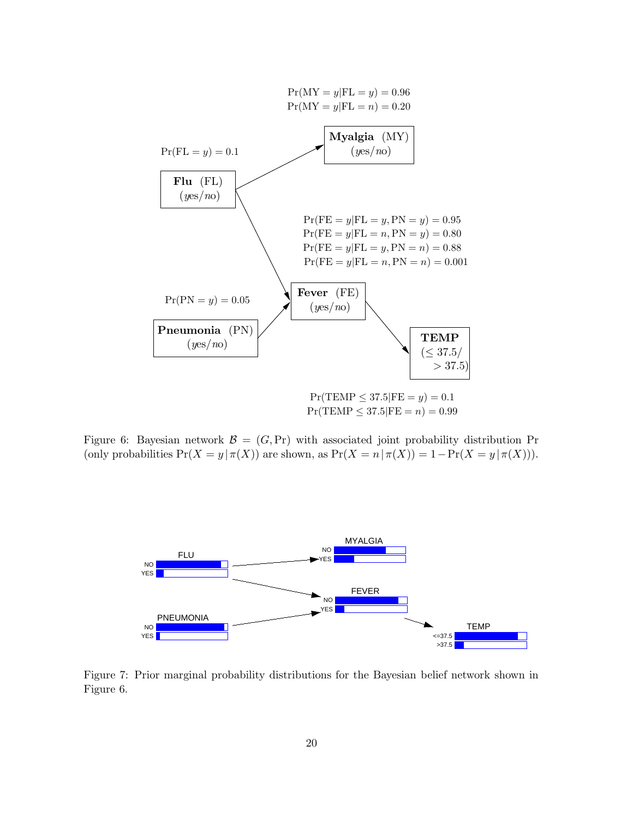

Figure 6: Bayesian network  $\mathcal{B} = (G, Pr)$  with associated joint probability distribution Pr (only probabilities  $Pr(X = y | \pi(X))$  are shown, as  $Pr(X = n | \pi(X)) = 1 - Pr(X = y | \pi(X))$ ).



Figure 7: Prior marginal probability distributions for the Bayesian belief network shown in Figure 6.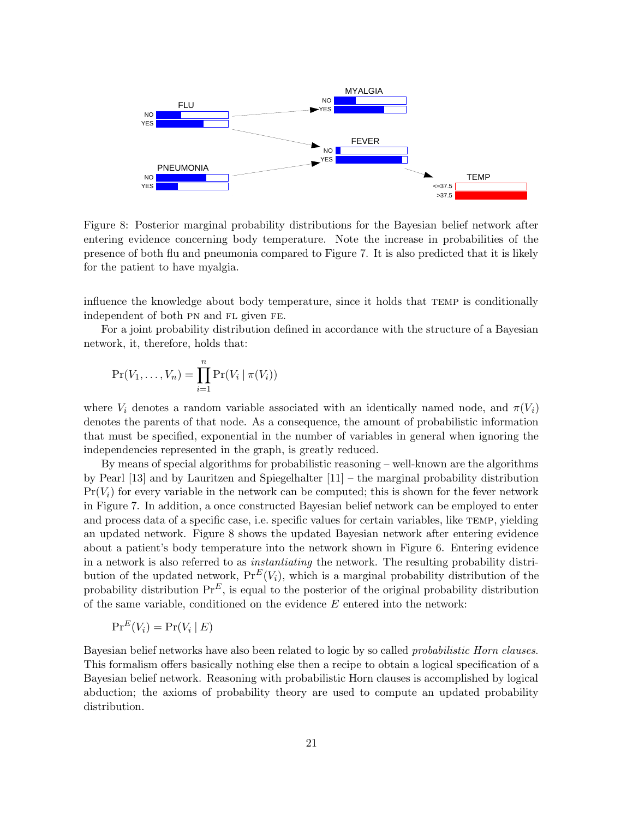

Figure 8: Posterior marginal probability distributions for the Bayesian belief network after entering evidence concerning body temperature. Note the increase in probabilities of the presence of both flu and pneumonia compared to Figure 7. It is also predicted that it is likely for the patient to have myalgia.

influence the knowledge about body temperature, since it holds that temp is conditionally independent of both pn and fl given fe.

For a joint probability distribution defined in accordance with the structure of a Bayesian network, it, therefore, holds that:

$$
\Pr(V_1,\ldots,V_n)=\prod_{i=1}^n\Pr(V_i\mid \pi(V_i))
$$

where  $V_i$  denotes a random variable associated with an identically named node, and  $\pi(V_i)$ denotes the parents of that node. As a consequence, the amount of probabilistic information that must be specified, exponential in the number of variables in general when ignoring the independencies represented in the graph, is greatly reduced.

By means of special algorithms for probabilistic reasoning – well-known are the algorithms by Pearl [13] and by Lauritzen and Spiegelhalter [11] – the marginal probability distribution  $Pr(V_i)$  for every variable in the network can be computed; this is shown for the fever network in Figure 7. In addition, a once constructed Bayesian belief network can be employed to enter and process data of a specific case, i.e. specific values for certain variables, like TEMP, yielding an updated network. Figure 8 shows the updated Bayesian network after entering evidence about a patient's body temperature into the network shown in Figure 6. Entering evidence in a network is also referred to as instantiating the network. The resulting probability distribution of the updated network,  $Pr^{E}(V_i)$ , which is a marginal probability distribution of the probability distribution  $\Pr^E$ , is equal to the posterior of the original probability distribution of the same variable, conditioned on the evidence  $E$  entered into the network:

$$
\mathrm{Pr}^E(V_i) = \mathrm{Pr}(V_i \mid E)
$$

Bayesian belief networks have also been related to logic by so called *probabilistic Horn clauses*. This formalism offers basically nothing else then a recipe to obtain a logical specification of a Bayesian belief network. Reasoning with probabilistic Horn clauses is accomplished by logical abduction; the axioms of probability theory are used to compute an updated probability distribution.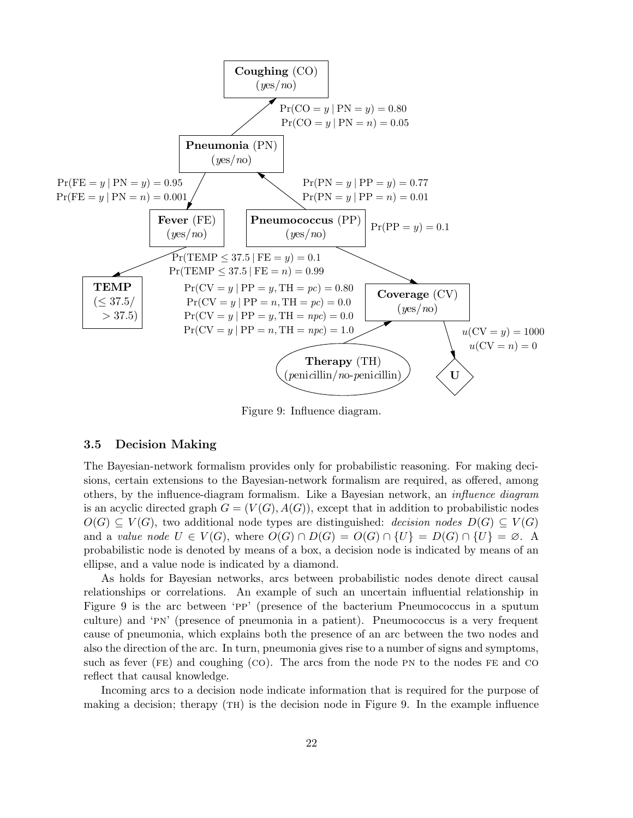

Figure 9: Influence diagram.

#### 3.5 Decision Making

The Bayesian-network formalism provides only for probabilistic reasoning. For making decisions, certain extensions to the Bayesian-network formalism are required, as offered, among others, by the influence-diagram formalism. Like a Bayesian network, an influence diagram is an acyclic directed graph  $G = (V(G), A(G))$ , except that in addition to probabilistic nodes  $O(G) \subseteq V(G)$ , two additional node types are distinguished: decision nodes  $D(G) \subseteq V(G)$ and a value node  $U \in V(G)$ , where  $O(G) \cap D(G) = O(G) \cap \{U\} = D(G) \cap \{U\} = \emptyset$ . A probabilistic node is denoted by means of a box, a decision node is indicated by means of an ellipse, and a value node is indicated by a diamond.

As holds for Bayesian networks, arcs between probabilistic nodes denote direct causal relationships or correlations. An example of such an uncertain influential relationship in Figure 9 is the arc between 'pp' (presence of the bacterium Pneumococcus in a sputum culture) and 'pn' (presence of pneumonia in a patient). Pneumococcus is a very frequent cause of pneumonia, which explains both the presence of an arc between the two nodes and also the direction of the arc. In turn, pneumonia gives rise to a number of signs and symptoms, such as fever  $(FE)$  and coughing  $(CO)$ . The arcs from the node PN to the nodes FE and CO reflect that causal knowledge.

Incoming arcs to a decision node indicate information that is required for the purpose of making a decision; therapy (TH) is the decision node in Figure 9. In the example influence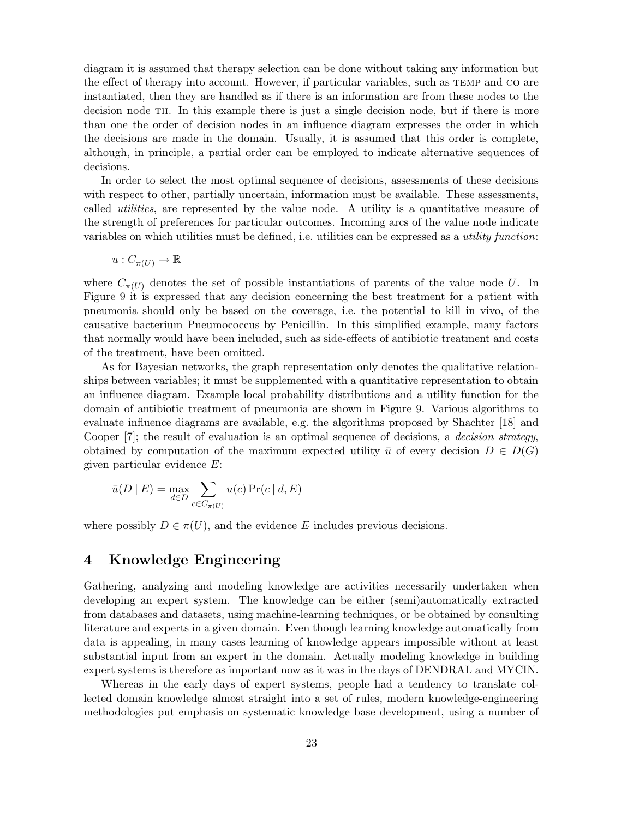diagram it is assumed that therapy selection can be done without taking any information but the effect of therapy into account. However, if particular variables, such as temp and co are instantiated, then they are handled as if there is an information arc from these nodes to the decision node th. In this example there is just a single decision node, but if there is more than one the order of decision nodes in an influence diagram expresses the order in which the decisions are made in the domain. Usually, it is assumed that this order is complete, although, in principle, a partial order can be employed to indicate alternative sequences of decisions.

In order to select the most optimal sequence of decisions, assessments of these decisions with respect to other, partially uncertain, information must be available. These assessments, called utilities, are represented by the value node. A utility is a quantitative measure of the strength of preferences for particular outcomes. Incoming arcs of the value node indicate variables on which utilities must be defined, i.e. utilities can be expressed as a *utility function*:

$$
u:C_{\pi(U)}\to\mathbb{R}
$$

where  $C_{\pi(U)}$  denotes the set of possible instantiations of parents of the value node U. In Figure 9 it is expressed that any decision concerning the best treatment for a patient with pneumonia should only be based on the coverage, i.e. the potential to kill in vivo, of the causative bacterium Pneumococcus by Penicillin. In this simplified example, many factors that normally would have been included, such as side-effects of antibiotic treatment and costs of the treatment, have been omitted.

As for Bayesian networks, the graph representation only denotes the qualitative relationships between variables; it must be supplemented with a quantitative representation to obtain an influence diagram. Example local probability distributions and a utility function for the domain of antibiotic treatment of pneumonia are shown in Figure 9. Various algorithms to evaluate influence diagrams are available, e.g. the algorithms proposed by Shachter [18] and Cooper  $[7]$ ; the result of evaluation is an optimal sequence of decisions, a *decision strategy*, obtained by computation of the maximum expected utility  $\bar{u}$  of every decision  $D \in D(G)$ given particular evidence E:

$$
\bar{u}(D \mid E) = \max_{d \in D} \sum_{c \in C_{\pi(U)}} u(c) \Pr(c \mid d, E)
$$

where possibly  $D \in \pi(U)$ , and the evidence E includes previous decisions.

## 4 Knowledge Engineering

Gathering, analyzing and modeling knowledge are activities necessarily undertaken when developing an expert system. The knowledge can be either (semi)automatically extracted from databases and datasets, using machine-learning techniques, or be obtained by consulting literature and experts in a given domain. Even though learning knowledge automatically from data is appealing, in many cases learning of knowledge appears impossible without at least substantial input from an expert in the domain. Actually modeling knowledge in building expert systems is therefore as important now as it was in the days of DENDRAL and MYCIN.

Whereas in the early days of expert systems, people had a tendency to translate collected domain knowledge almost straight into a set of rules, modern knowledge-engineering methodologies put emphasis on systematic knowledge base development, using a number of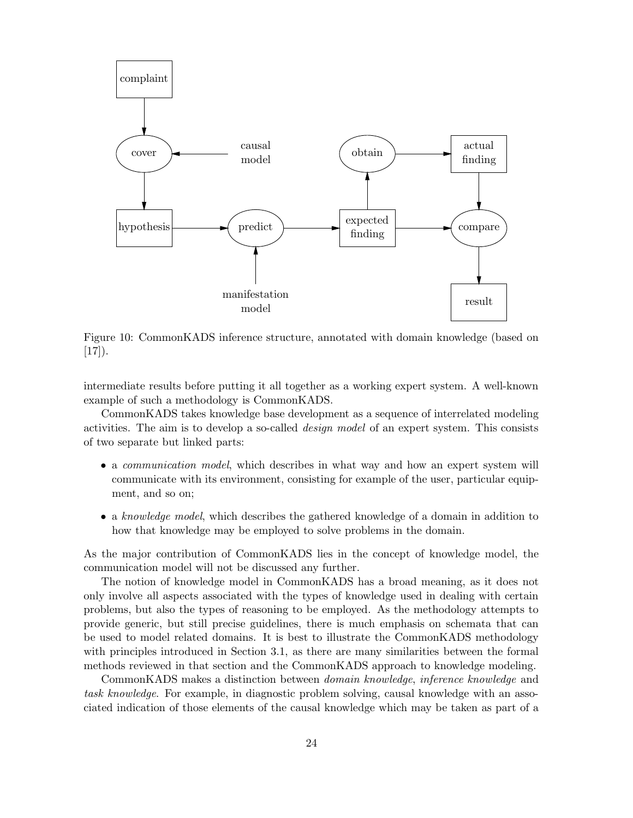

Figure 10: CommonKADS inference structure, annotated with domain knowledge (based on  $[17]$ .

intermediate results before putting it all together as a working expert system. A well-known example of such a methodology is CommonKADS.

CommonKADS takes knowledge base development as a sequence of interrelated modeling activities. The aim is to develop a so-called design model of an expert system. This consists of two separate but linked parts:

- a *communication model*, which describes in what way and how an expert system will communicate with its environment, consisting for example of the user, particular equipment, and so on;
- a knowledge model, which describes the gathered knowledge of a domain in addition to how that knowledge may be employed to solve problems in the domain.

As the major contribution of CommonKADS lies in the concept of knowledge model, the communication model will not be discussed any further.

The notion of knowledge model in CommonKADS has a broad meaning, as it does not only involve all aspects associated with the types of knowledge used in dealing with certain problems, but also the types of reasoning to be employed. As the methodology attempts to provide generic, but still precise guidelines, there is much emphasis on schemata that can be used to model related domains. It is best to illustrate the CommonKADS methodology with principles introduced in Section 3.1, as there are many similarities between the formal methods reviewed in that section and the CommonKADS approach to knowledge modeling.

CommonKADS makes a distinction between domain knowledge, inference knowledge and task knowledge. For example, in diagnostic problem solving, causal knowledge with an associated indication of those elements of the causal knowledge which may be taken as part of a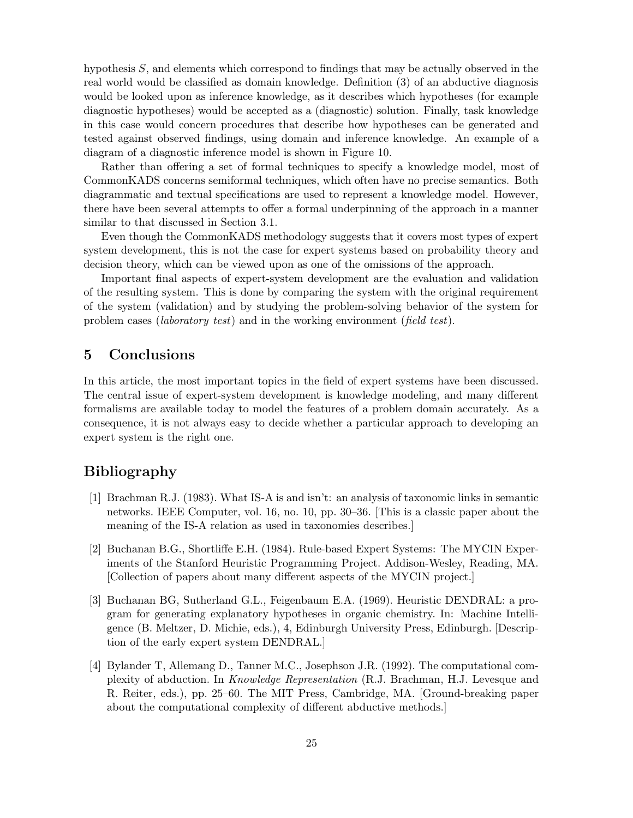hypothesis S, and elements which correspond to findings that may be actually observed in the real world would be classified as domain knowledge. Definition (3) of an abductive diagnosis would be looked upon as inference knowledge, as it describes which hypotheses (for example diagnostic hypotheses) would be accepted as a (diagnostic) solution. Finally, task knowledge in this case would concern procedures that describe how hypotheses can be generated and tested against observed findings, using domain and inference knowledge. An example of a diagram of a diagnostic inference model is shown in Figure 10.

Rather than offering a set of formal techniques to specify a knowledge model, most of CommonKADS concerns semiformal techniques, which often have no precise semantics. Both diagrammatic and textual specifications are used to represent a knowledge model. However, there have been several attempts to offer a formal underpinning of the approach in a manner similar to that discussed in Section 3.1.

Even though the CommonKADS methodology suggests that it covers most types of expert system development, this is not the case for expert systems based on probability theory and decision theory, which can be viewed upon as one of the omissions of the approach.

Important final aspects of expert-system development are the evaluation and validation of the resulting system. This is done by comparing the system with the original requirement of the system (validation) and by studying the problem-solving behavior of the system for problem cases (laboratory test) and in the working environment (field test).

## 5 Conclusions

In this article, the most important topics in the field of expert systems have been discussed. The central issue of expert-system development is knowledge modeling, and many different formalisms are available today to model the features of a problem domain accurately. As a consequence, it is not always easy to decide whether a particular approach to developing an expert system is the right one.

# Bibliography

- [1] Brachman R.J. (1983). What IS-A is and isn't: an analysis of taxonomic links in semantic networks. IEEE Computer, vol. 16, no. 10, pp. 30–36. [This is a classic paper about the meaning of the IS-A relation as used in taxonomies describes.]
- [2] Buchanan B.G., Shortliffe E.H. (1984). Rule-based Expert Systems: The MYCIN Experiments of the Stanford Heuristic Programming Project. Addison-Wesley, Reading, MA. [Collection of papers about many different aspects of the MYCIN project.]
- [3] Buchanan BG, Sutherland G.L., Feigenbaum E.A. (1969). Heuristic DENDRAL: a program for generating explanatory hypotheses in organic chemistry. In: Machine Intelligence (B. Meltzer, D. Michie, eds.), 4, Edinburgh University Press, Edinburgh. [Description of the early expert system DENDRAL.]
- [4] Bylander T, Allemang D., Tanner M.C., Josephson J.R. (1992). The computational complexity of abduction. In Knowledge Representation (R.J. Brachman, H.J. Levesque and R. Reiter, eds.), pp. 25–60. The MIT Press, Cambridge, MA. [Ground-breaking paper about the computational complexity of different abductive methods.]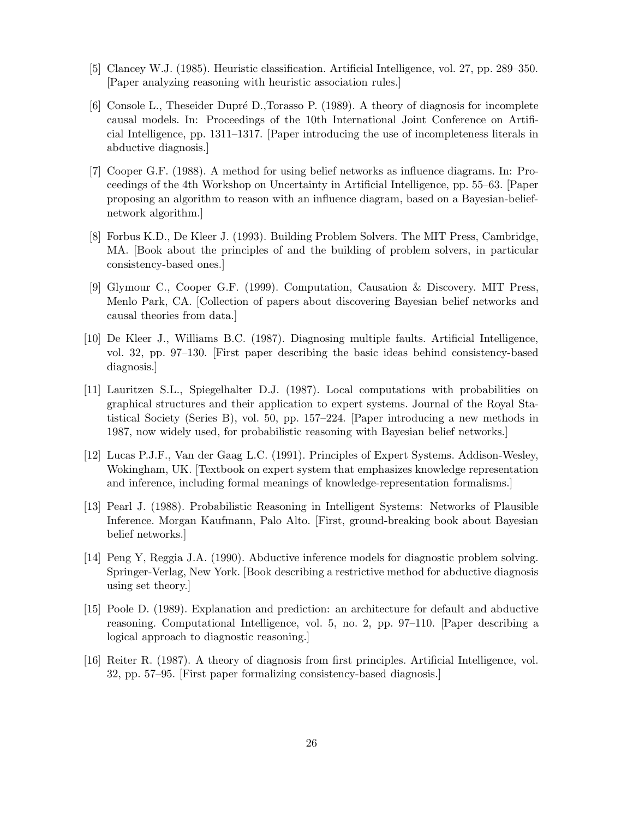- [5] Clancey W.J. (1985). Heuristic classification. Artificial Intelligence, vol. 27, pp. 289–350. [Paper analyzing reasoning with heuristic association rules.]
- [6] Console L., Theseider Dupré D.,Torasso P. (1989). A theory of diagnosis for incomplete causal models. In: Proceedings of the 10th International Joint Conference on Artificial Intelligence, pp. 1311–1317. [Paper introducing the use of incompleteness literals in abductive diagnosis.]
- [7] Cooper G.F. (1988). A method for using belief networks as influence diagrams. In: Proceedings of the 4th Workshop on Uncertainty in Artificial Intelligence, pp. 55–63. [Paper proposing an algorithm to reason with an influence diagram, based on a Bayesian-beliefnetwork algorithm.]
- [8] Forbus K.D., De Kleer J. (1993). Building Problem Solvers. The MIT Press, Cambridge, MA. [Book about the principles of and the building of problem solvers, in particular consistency-based ones.]
- [9] Glymour C., Cooper G.F. (1999). Computation, Causation & Discovery. MIT Press, Menlo Park, CA. [Collection of papers about discovering Bayesian belief networks and causal theories from data.]
- [10] De Kleer J., Williams B.C. (1987). Diagnosing multiple faults. Artificial Intelligence, vol. 32, pp. 97–130. [First paper describing the basic ideas behind consistency-based diagnosis.]
- [11] Lauritzen S.L., Spiegelhalter D.J. (1987). Local computations with probabilities on graphical structures and their application to expert systems. Journal of the Royal Statistical Society (Series B), vol. 50, pp. 157–224. [Paper introducing a new methods in 1987, now widely used, for probabilistic reasoning with Bayesian belief networks.]
- [12] Lucas P.J.F., Van der Gaag L.C. (1991). Principles of Expert Systems. Addison-Wesley, Wokingham, UK. [Textbook on expert system that emphasizes knowledge representation and inference, including formal meanings of knowledge-representation formalisms.]
- [13] Pearl J. (1988). Probabilistic Reasoning in Intelligent Systems: Networks of Plausible Inference. Morgan Kaufmann, Palo Alto. [First, ground-breaking book about Bayesian belief networks.]
- [14] Peng Y, Reggia J.A. (1990). Abductive inference models for diagnostic problem solving. Springer-Verlag, New York. [Book describing a restrictive method for abductive diagnosis using set theory.]
- [15] Poole D. (1989). Explanation and prediction: an architecture for default and abductive reasoning. Computational Intelligence, vol. 5, no. 2, pp. 97–110. [Paper describing a logical approach to diagnostic reasoning.]
- [16] Reiter R. (1987). A theory of diagnosis from first principles. Artificial Intelligence, vol. 32, pp. 57–95. [First paper formalizing consistency-based diagnosis.]